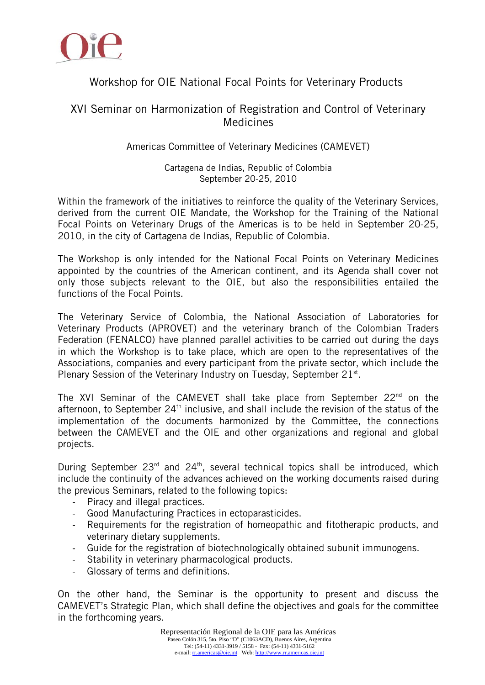

## Workshop for OIE National Focal Points for Veterinary Products

### XVI Seminar on Harmonization of Registration and Control of Veterinary Medicines

#### Americas Committee of Veterinary Medicines (CAMEVET)

Cartagena de Indias, Republic of Colombia September 20-25, 2010

Within the framework of the initiatives to reinforce the quality of the Veterinary Services, derived from the current OIE Mandate, the Workshop for the Training of the National Focal Points on Veterinary Drugs of the Americas is to be held in September 20-25, 2010, in the city of Cartagena de Indias, Republic of Colombia.

The Workshop is only intended for the National Focal Points on Veterinary Medicines appointed by the countries of the American continent, and its Agenda shall cover not only those subjects relevant to the OIE, but also the responsibilities entailed the functions of the Focal Points.

The Veterinary Service of Colombia, the National Association of Laboratories for Veterinary Products (APROVET) and the veterinary branch of the Colombian Traders Federation (FENALCO) have planned parallel activities to be carried out during the days in which the Workshop is to take place, which are open to the representatives of the Associations, companies and every participant from the private sector, which include the Plenary Session of the Veterinary Industry on Tuesday, September 21<sup>st</sup>.

The XVI Seminar of the CAMEVET shall take place from September  $22^{nd}$  on the afternoon, to September  $24<sup>th</sup>$  inclusive, and shall include the revision of the status of the implementation of the documents harmonized by the Committee, the connections between the CAMEVET and the OIE and other organizations and regional and global projects.

During September  $23<sup>rd</sup>$  and  $24<sup>th</sup>$ , several technical topics shall be introduced, which include the continuity of the advances achieved on the working documents raised during the previous Seminars, related to the following topics:

- ‐ Piracy and illegal practices.
- ‐ Good Manufacturing Practices in ectoparasticides.
- ‐ Requirements for the registration of homeopathic and fitotherapic products, and veterinary dietary supplements.
- ‐ Guide for the registration of biotechnologically obtained subunit immunogens.
- ‐ Stability in veterinary pharmacological products.
- ‐ Glossary of terms and definitions.

On the other hand, the Seminar is the opportunity to present and discuss the CAMEVET's Strategic Plan, which shall define the objectives and goals for the committee in the forthcoming years.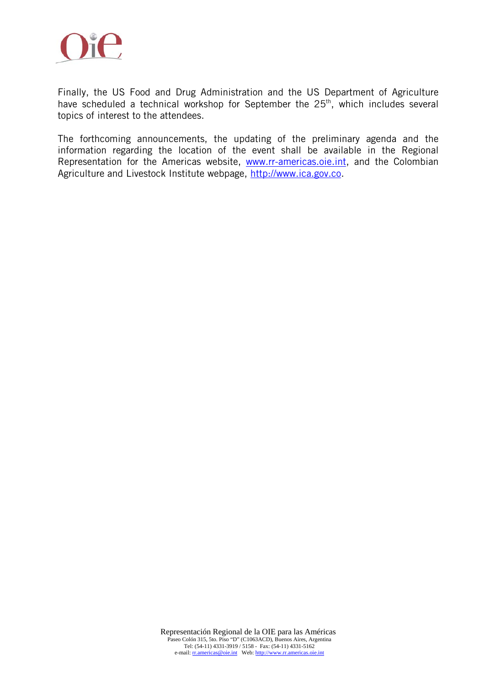

Finally, the US Food and Drug Administration and the US Department of Agriculture have scheduled a technical workshop for September the  $25<sup>th</sup>$ , which includes several topics of interest to the attendees.

The forthcoming announcements, the updating of the preliminary agenda and the information regarding the location of the event shall be available in the Regional Representation for the Americas website, www.rr-americas.oie.int, and the Colombian Agriculture and Livestock Institute webpage, http://www.ica.gov.co.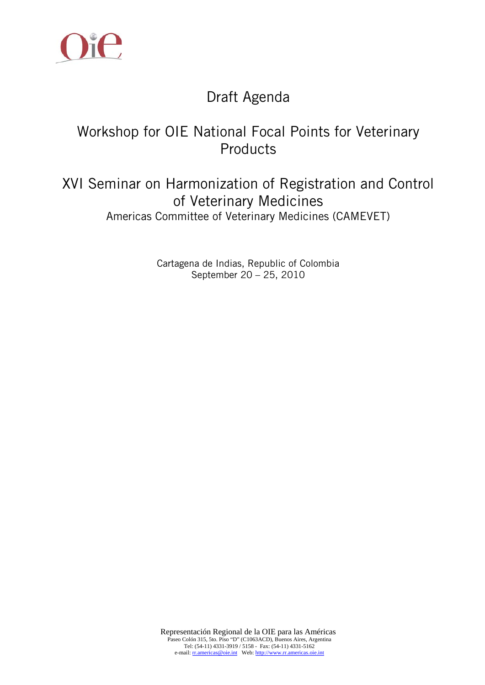

# Draft Agenda

# Workshop for OIE National Focal Points for Veterinary Products

## XVI Seminar on Harmonization of Registration and Control of Veterinary Medicines Americas Committee of Veterinary Medicines (CAMEVET)

Cartagena de Indias, Republic of Colombia September 20 – 25, 2010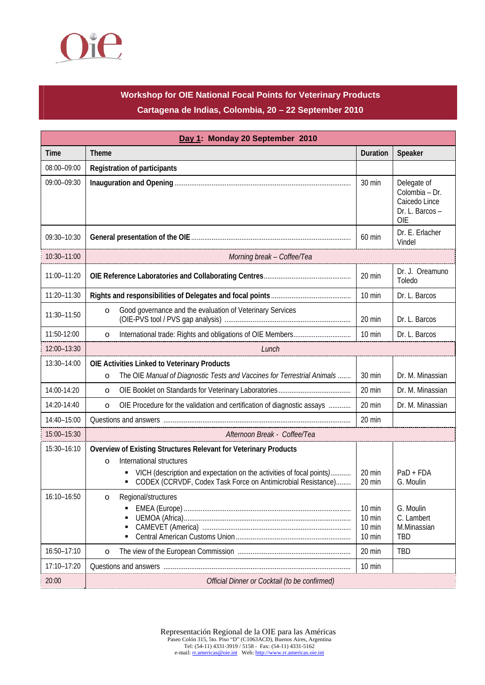

## **Workshop for OIE National Focal Points for Veterinary Products Cartagena de Indias, Colombia, 20 – 22 September 2010**

| Day 1: Monday 20 September 2010 |                                                                                                                                                                                                                                                 |                                                                    |                                                                                 |
|---------------------------------|-------------------------------------------------------------------------------------------------------------------------------------------------------------------------------------------------------------------------------------------------|--------------------------------------------------------------------|---------------------------------------------------------------------------------|
| Time                            | <b>Theme</b>                                                                                                                                                                                                                                    | Duration                                                           | Speaker                                                                         |
| 08:00-09:00                     | <b>Registration of participants</b>                                                                                                                                                                                                             |                                                                    |                                                                                 |
| 09:00-09:30                     |                                                                                                                                                                                                                                                 | 30 min                                                             | Delegate of<br>Colombia - Dr.<br>Caicedo Lince<br>Dr. L. Barcos -<br><b>OIE</b> |
| 09:30-10:30                     |                                                                                                                                                                                                                                                 | 60 min                                                             | Dr. E. Erlacher<br>Vindel                                                       |
| 10:30-11:00                     | Morning break - Coffee/Tea                                                                                                                                                                                                                      |                                                                    |                                                                                 |
| 11:00-11:20                     |                                                                                                                                                                                                                                                 | 20 min                                                             | Dr. J. Oreamuno<br>Toledo                                                       |
| 11:20-11:30                     |                                                                                                                                                                                                                                                 | 10 min                                                             | Dr. L. Barcos                                                                   |
| 11:30-11:50                     | Good governance and the evaluation of Veterinary Services<br>$\circ$                                                                                                                                                                            | 20 min                                                             | Dr. L. Barcos                                                                   |
| 11:50-12:00                     | $\circ$                                                                                                                                                                                                                                         | 10 min                                                             | Dr. L. Barcos                                                                   |
| 12:00-13:30                     | Lunch                                                                                                                                                                                                                                           |                                                                    |                                                                                 |
| 13:30-14:00                     | OIE Activities Linked to Veterinary Products                                                                                                                                                                                                    |                                                                    |                                                                                 |
|                                 | The OIE Manual of Diagnostic Tests and Vaccines for Terrestrial Animals<br>$\circ$                                                                                                                                                              | 30 min                                                             | Dr. M. Minassian                                                                |
| 14:00-14:20                     | $\circ$                                                                                                                                                                                                                                         | 20 min                                                             | Dr. M. Minassian                                                                |
| 14:20-14:40                     | OIE Procedure for the validation and certification of diagnostic assays<br>$\circ$                                                                                                                                                              | 20 min                                                             | Dr. M. Minassian                                                                |
| 14:40-15:00                     |                                                                                                                                                                                                                                                 | 20 min                                                             |                                                                                 |
| 15:00-15:30                     | Afternoon Break - Coffee/Tea                                                                                                                                                                                                                    |                                                                    |                                                                                 |
| 15:30-16:10                     | Overview of Existing Structures Relevant for Veterinary Products<br>International structures<br>$\circ$<br>VICH (description and expectation on the activities of focal points)<br>CODEX (CCRVDF, Codex Task Force on Antimicrobial Resistance) | 20 min<br>20 min                                                   | $PaD + FDA$<br>G. Moulin                                                        |
| 16:10-16:50                     | Regional/structures                                                                                                                                                                                                                             | $10 \text{ min}$<br>$10 \text{ min}$<br>$10 \text{ min}$<br>10 min | G. Moulin<br>C. Lambert<br>M.Minassian<br>TBD                                   |
| 16:50-17:10                     | $\circ$                                                                                                                                                                                                                                         | 20 min                                                             | <b>TBD</b>                                                                      |
| 17:10-17:20                     |                                                                                                                                                                                                                                                 | $10 \text{ min}$                                                   |                                                                                 |
| 20:00                           | Official Dinner or Cocktail (to be confirmed)                                                                                                                                                                                                   |                                                                    |                                                                                 |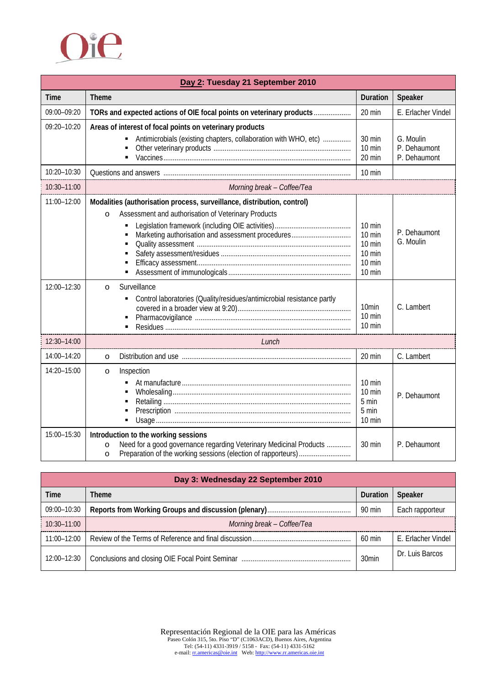

| Day 2: Tuesday 21 September 2010 |                                                                                                                                                                                                                                                                                                                            |                                                                                                             |                                           |
|----------------------------------|----------------------------------------------------------------------------------------------------------------------------------------------------------------------------------------------------------------------------------------------------------------------------------------------------------------------------|-------------------------------------------------------------------------------------------------------------|-------------------------------------------|
| <b>Time</b>                      | <b>Theme</b>                                                                                                                                                                                                                                                                                                               | Duration                                                                                                    | Speaker                                   |
| 09:00-09:20                      | TORs and expected actions of OIE focal points on veterinary products                                                                                                                                                                                                                                                       | 20 min                                                                                                      | E. Erlacher Vindel                        |
| 09:20-10:20                      | Areas of interest of focal points on veterinary products<br>Antimicrobials (existing chapters, collaboration with WHO, etc)<br>$\blacksquare$<br>٠                                                                                                                                                                         | 30 min<br>$10 \text{ min}$<br>20 min                                                                        | G. Moulin<br>P. Dehaumont<br>P. Dehaumont |
| 10:20-10:30                      |                                                                                                                                                                                                                                                                                                                            | 10 min                                                                                                      |                                           |
| 10:30-11:00                      | Morning break - Coffee/Tea                                                                                                                                                                                                                                                                                                 |                                                                                                             |                                           |
| 11:00-12:00<br>12:00-12:30       | Modalities (authorisation process, surveillance, distribution, control)<br>Assessment and authorisation of Veterinary Products<br>$\circ$<br>Marketing authorisation and assessment procedures<br>Surveillance<br>$\circ$<br>Control laboratories (Quality/residues/antimicrobial resistance partly<br>$\blacksquare$<br>٠ | 10 min<br>10 min<br>10 min<br>10 min<br>10 min<br>10 min<br>10 <sub>min</sub><br>10 min<br>$10 \text{ min}$ | P. Dehaumont<br>G. Moulin<br>C. Lambert   |
| 12:30-14:00                      | Lunch                                                                                                                                                                                                                                                                                                                      |                                                                                                             |                                           |
| 14:00-14:20                      | $\circ$                                                                                                                                                                                                                                                                                                                    | 20 min                                                                                                      | C. Lambert                                |
| 14:20-15:00                      | Inspection<br>$\circ$                                                                                                                                                                                                                                                                                                      | $10 \text{ min}$<br>10 min<br>5 min<br>5 min<br>10 min                                                      | P. Dehaumont                              |
| 15:00-15:30                      | Introduction to the working sessions<br>Need for a good governance regarding Veterinary Medicinal Products<br>$\circ$<br>$\circ$                                                                                                                                                                                           | 30 min                                                                                                      | P. Dehaumont                              |

| Day 3: Wednesday 22 September 2010 |                            |                   |                    |
|------------------------------------|----------------------------|-------------------|--------------------|
| Time                               | Theme                      | Duration          | <b>Speaker</b>     |
| 09:00-10:30                        |                            | 90 min            | Each rapporteur    |
| $\frac{1}{2}$ 10:30-11:00          | Morning break – Coffee/Tea |                   |                    |
| 11:00-12:00                        |                            | 60 min            | F. Frlacher Vindel |
| 12:00-12:30                        |                            | 30 <sub>min</sub> | Dr. Luis Barcos    |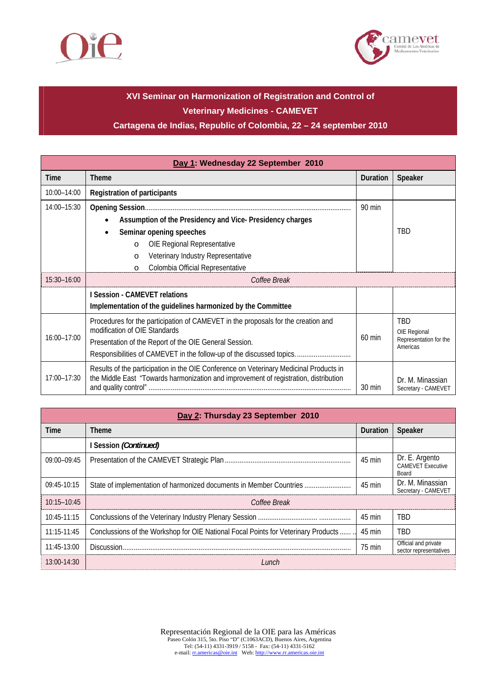



## **XVI Seminar on Harmonization of Registration and Control of Veterinary Medicines - CAMEVET**

#### **Cartagena de Indias, Republic of Colombia, 22 – 24 september 2010**

| Day 1: Wednesday 22 September 2010 |                                                                                                                                                                                                                                                      |                  |                                                                  |
|------------------------------------|------------------------------------------------------------------------------------------------------------------------------------------------------------------------------------------------------------------------------------------------------|------------------|------------------------------------------------------------------|
| Time                               | <b>Theme</b>                                                                                                                                                                                                                                         | Duration         | Speaker                                                          |
| 10:00-14:00                        | <b>Registration of participants</b>                                                                                                                                                                                                                  |                  |                                                                  |
| 14:00-15:30                        | Assumption of the Presidency and Vice-Presidency charges                                                                                                                                                                                             | 90 min           |                                                                  |
|                                    | Seminar opening speeches<br>OIE Regional Representative<br>$\circ$<br>Veterinary Industry Representative<br>O                                                                                                                                        |                  | TBD                                                              |
|                                    | Colombia Official Representative<br>O                                                                                                                                                                                                                |                  |                                                                  |
| 15:30-16:00                        | Coffee Break                                                                                                                                                                                                                                         |                  |                                                                  |
|                                    | I Session - CAMEVET relations                                                                                                                                                                                                                        |                  |                                                                  |
|                                    | Implementation of the guidelines harmonized by the Committee                                                                                                                                                                                         |                  |                                                                  |
| $16:00 - 17:00$                    | Procedures for the participation of CAMEVET in the proposals for the creation and<br>modification of OIE Standards<br>Presentation of the Report of the OIE General Session.<br>Responsibilities of CAMEVET in the follow-up of the discussed topics | 60 min           | <b>TBD</b><br>OIE Regional<br>Representation for the<br>Americas |
| 17:00-17:30                        | Results of the participation in the OIE Conference on Veterinary Medicinal Products in<br>the Middle East "Towards harmonization and improvement of registration, distribution                                                                       | $30 \text{ min}$ | Dr. M. Minassian<br>Secretary - CAMEVET                          |

| Day 2: Thursday 23 September 2010 |                                                                                     |          |                                                     |
|-----------------------------------|-------------------------------------------------------------------------------------|----------|-----------------------------------------------------|
| Time                              | <b>Theme</b>                                                                        | Duration | Speaker                                             |
|                                   | I Session (Continued)                                                               |          |                                                     |
| 09:00-09:45                       |                                                                                     | 45 min   | Dr. E. Argento<br><b>CAMEVET Executive</b><br>Board |
| 09:45-10:15                       | State of implementation of harmonized documents in Member Countries                 | 45 min   | Dr. M. Minassian<br>Secretary - CAMEVET             |
| $10:15 - 10:45$                   | Coffee Break                                                                        |          |                                                     |
| 10:45-11:15                       |                                                                                     | 45 min   | TBD                                                 |
| 11:15-11:45                       | Conclussions of the Workshop for OIE National Focal Points for Veterinary Products. | 45 min   | <b>TBD</b>                                          |
| 11:45-13:00                       | Discussion.                                                                         | 75 min   | Official and private<br>sector representatives      |
| $13:00-14:30$                     | Lunch                                                                               |          |                                                     |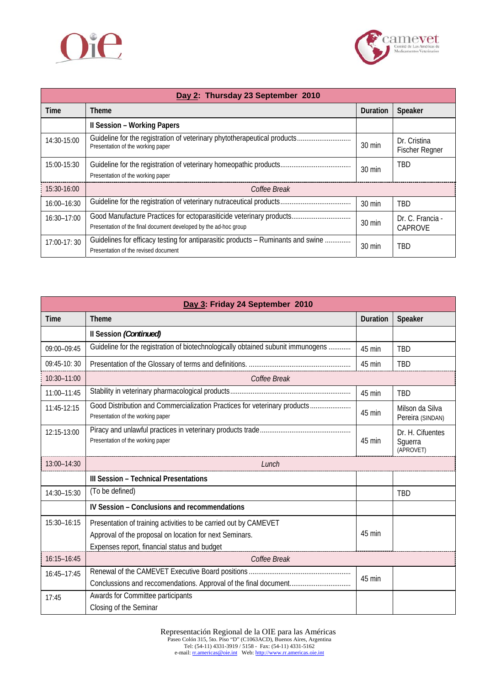



| Day 2: Thursday 23 September 2010 |                                                                                                                                         |                  |                                       |
|-----------------------------------|-----------------------------------------------------------------------------------------------------------------------------------------|------------------|---------------------------------------|
| Time                              | <b>Theme</b>                                                                                                                            | Duration         | Speaker                               |
|                                   | <b>Il Session - Working Papers</b>                                                                                                      |                  |                                       |
| 14:30-15:00                       | Guideline for the registration of veterinary phytotherapeutical products<br>Presentation of the working paper                           | 30 min           | Dr. Cristina<br><b>Fischer Regner</b> |
| 15:00-15:30                       | Presentation of the working paper                                                                                                       | 30 min           | <b>TBD</b>                            |
| 15:30-16:00                       | Coffee Break                                                                                                                            |                  |                                       |
| 16:00-16:30                       |                                                                                                                                         | 30 min           | <b>TBD</b>                            |
| $16:30 - 17:00$                   | Good Manufacture Practices for ectoparasiticide veterinary products<br>Presentation of the final document developed by the ad-hoc group | 30 min           | Dr. C. Francia -<br>CAPROVE           |
| 17:00-17:30                       | Guidelines for efficacy testing for antiparasitic products - Ruminants and swine<br>Presentation of the revised document                | $30 \text{ min}$ | <b>TBD</b>                            |

| Day 3: Friday 24 September 2010 |                                                                                                                                                                             |          |                                          |
|---------------------------------|-----------------------------------------------------------------------------------------------------------------------------------------------------------------------------|----------|------------------------------------------|
| Time                            | <b>Theme</b>                                                                                                                                                                | Duration | Speaker                                  |
|                                 | Il Session (Continued)                                                                                                                                                      |          |                                          |
| 09:00-09:45                     | Guideline for the registration of biotechnologically obtained subunit immunogens                                                                                            | 45 min   | <b>TBD</b>                               |
| 09:45-10:30                     |                                                                                                                                                                             | 45 min   | <b>TBD</b>                               |
| 10:30-11:00                     | Coffee Break                                                                                                                                                                |          |                                          |
| 11:00-11:45                     |                                                                                                                                                                             | 45 min   | <b>TBD</b>                               |
| 11:45-12:15                     | Good Distribution and Commercialization Practices for veterinary products<br>Presentation of the working paper                                                              | 45 min   | Milson da Silva<br>Pereira (SINDAN)      |
| 12:15-13:00                     | Presentation of the working paper                                                                                                                                           | 45 min   | Dr. H. Cifuentes<br>Squerra<br>(APROVET) |
| 13:00-14:30                     | Lunch                                                                                                                                                                       |          |                                          |
|                                 | <b>III Session - Technical Presentations</b>                                                                                                                                |          |                                          |
| 14:30-15:30                     | (To be defined)                                                                                                                                                             |          | <b>TBD</b>                               |
|                                 | IV Session - Conclusions and recommendations                                                                                                                                |          |                                          |
| 15:30-16:15                     | Presentation of training activities to be carried out by CAMEVET<br>Approval of the proposal on location for next Seminars.<br>Expenses report, financial status and budget | 45 min   |                                          |
| 16:15-16:45                     | Coffee Break                                                                                                                                                                |          |                                          |
| 16:45-17:45                     | Conclussions and reccomendations. Approval of the final document                                                                                                            | 45 min   |                                          |
| 17:45                           | Awards for Committee participants<br>Closing of the Seminar                                                                                                                 |          |                                          |
|                                 |                                                                                                                                                                             |          |                                          |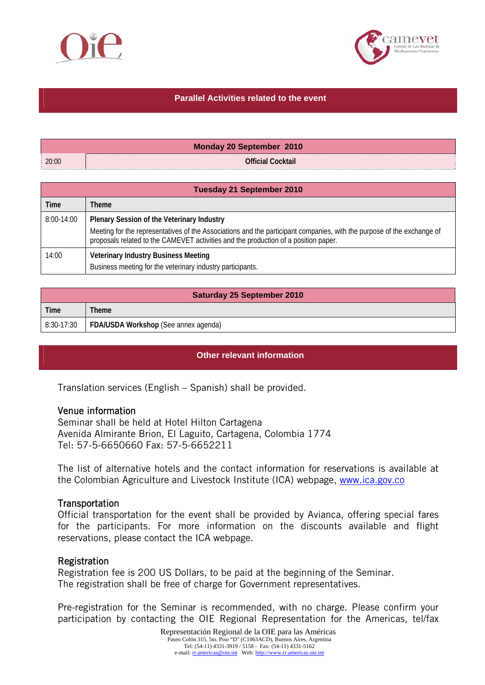



#### **Parallel Activities related to the event**

|                     | <b>Monday 20 September 2010</b> |
|---------------------|---------------------------------|
| $\frac{1}{2}$ 20:00 | <b>Official Cocktail</b>        |

| <b>Tuesday 21 September 2010</b> |                                                                                                                                                                                                                                                             |  |
|----------------------------------|-------------------------------------------------------------------------------------------------------------------------------------------------------------------------------------------------------------------------------------------------------------|--|
| Time                             | Theme                                                                                                                                                                                                                                                       |  |
| 8:00-14:00                       | Plenary Session of the Veterinary Industry<br>Meeting for the representatives of the Associations and the participant companies, with the purpose of the exchange of<br>proposals related to the CAMEVET activities and the production of a position paper. |  |
| 14:00                            | <b>Veterinary Industry Business Meeting</b><br>Business meeting for the veterinary industry participants.                                                                                                                                                   |  |

| <b>Saturday 25 September 2010</b> |                                      |  |
|-----------------------------------|--------------------------------------|--|
| Time                              | <b>Theme</b>                         |  |
| 8:30-17:30                        | FDA/USDA Workshop (See annex agenda) |  |

#### **Other relevant information**

Translation services (English – Spanish) shall be provided.

#### Venue information

Seminar shall be held at Hotel Hilton Cartagena Avenida Almirante Brion, El Laguito, Cartagena, Colombia 1774 Tel: 57-5-6650660 Fax: 57-5-6652211

The list of alternative hotels and the contact information for reservations is available at the Colombian Agriculture and Livestock Institute (ICA) webpage, www.ica.gov.co

#### **Transportation**

Official transportation for the event shall be provided by Avianca, offering special fares for the participants. For more information on the discounts available and flight reservations, please contact the ICA webpage.

#### **Registration**

Registration fee is 200 US Dollars, to be paid at the beginning of the Seminar. The registration shall be free of charge for Government representatives.

Pre-registration for the Seminar is recommended, with no charge. Please confirm your participation by contacting the OIE Regional Representation for the Americas, tel/fax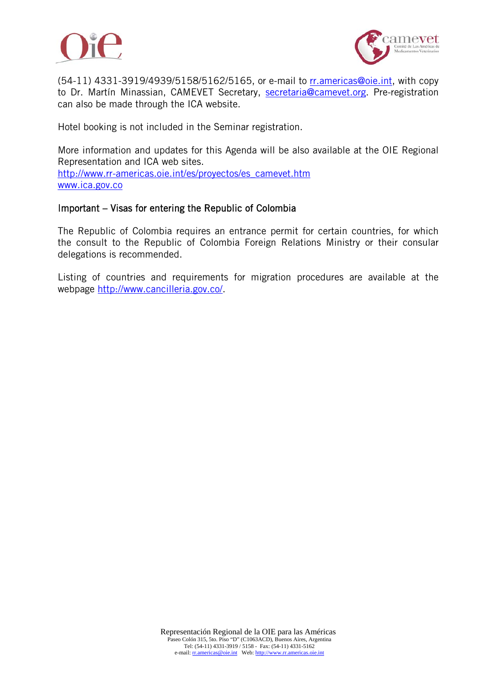



(54-11) 4331-3919/4939/5158/5162/5165, or e-mail to rr.americas@oie.int, with copy to Dr. Martín Minassian, CAMEVET Secretary, secretaria@camevet.org. Pre-registration can also be made through the ICA website.

Hotel booking is not included in the Seminar registration.

More information and updates for this Agenda will be also available at the OIE Regional Representation and ICA web sites. http://www.rr-americas.oie.int/es/proyectos/es\_camevet.htm www.ica.gov.co

#### Important – Visas for entering the Republic of Colombia

The Republic of Colombia requires an entrance permit for certain countries, for which the consult to the Republic of Colombia Foreign Relations Ministry or their consular delegations is recommended.

Listing of countries and requirements for migration procedures are available at the webpage http://www.cancilleria.gov.co/.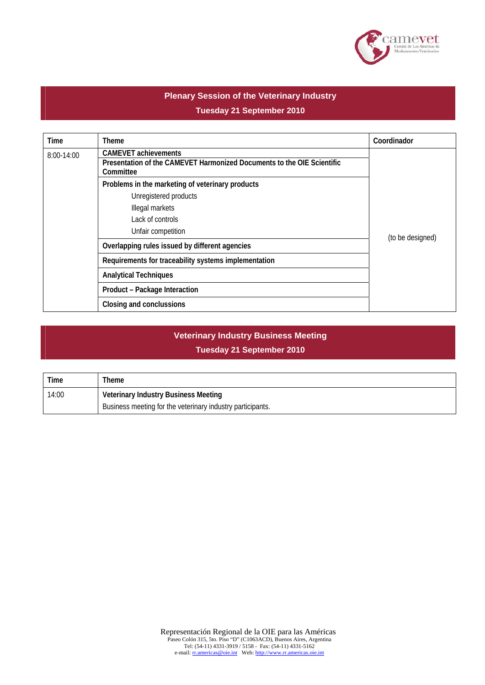

### **Plenary Session of the Veterinary Industry Tuesday 21 September 2010**

| Time       | Theme                                                                                                 | Coordinador      |
|------------|-------------------------------------------------------------------------------------------------------|------------------|
| 8:00-14:00 | <b>CAMEVET achievements</b><br>Presentation of the CAMEVET Harmonized Documents to the OIE Scientific |                  |
|            | Committee                                                                                             |                  |
|            | Problems in the marketing of veterinary products                                                      |                  |
|            | Unregistered products                                                                                 |                  |
|            | Illegal markets                                                                                       |                  |
|            | Lack of controls                                                                                      |                  |
|            | Unfair competition                                                                                    | (to be designed) |
|            | Overlapping rules issued by different agencies                                                        |                  |
|            | Requirements for traceability systems implementation                                                  |                  |
|            | <b>Analytical Techniques</b>                                                                          |                  |
|            | Product - Package Interaction                                                                         |                  |
|            | Closing and conclussions                                                                              |                  |

### **Veterinary Industry Business Meeting Tuesday 21 September 2010**

| Time  | Theme                                                      |
|-------|------------------------------------------------------------|
| 14:00 | Veterinary Industry Business Meeting                       |
|       | Business meeting for the veterinary industry participants. |